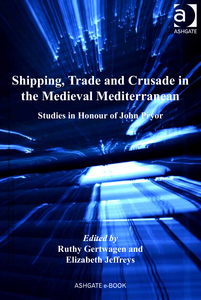

# **Shipping, Trade and Crusade in the Medieval Mediterranean**  © Gertwagen, Ruthy; Jeffreys, Elizabeth, May 01, 2012, Shipping, Trad**e a**nd Crusade in the Medieval Mediterranean : Studies in Honour Ashgate Publishing Ltd, Farnham, ISBN: 9781409437<mark>5</mark>3

**Studies in Honour of John Pryor**

*Edited by* **Ruthy Gertwagen and Elizabeth Jeffreys**

**ASHGATE e-BOOK**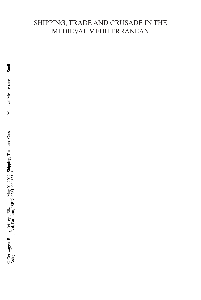## Shipping, Trade and Crusade in the Medieval Mediterranean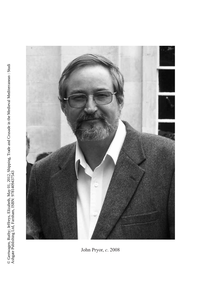

John Pryor, *c*. 2008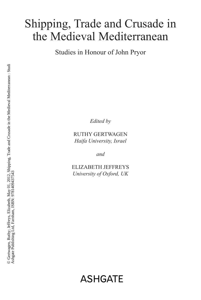# Shipping, Trade and Crusade in the Medieval Mediterranean

Studies in Honour of John Pryor

*Edited by*

Ruthy Gertwagen *Haifa University, Israel*

*and*

Elizabeth Jeffreys *University of Oxford, UK*

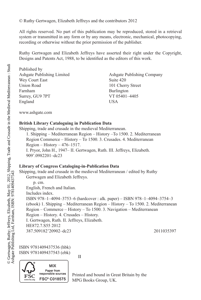© Ruthy Gertwagen, Elizabeth Jeffreys and the contributors 2012

All rights reserved. No part of this publication may be reproduced, stored in a retrieval system or transmitted in any form or by any means, electronic, mechanical, photocopying, recording or otherwise without the prior permission of the publisher.

Ruthy Gertwagen and Elizabeth Jeffreys have asserted their right under the Copyright, Designs and Patents Act, 1988, to be identified as the editors of this work.

| Published by               |                            |
|----------------------------|----------------------------|
| Ashgate Publishing Limited | Ashgate Publishing Company |
| Wey Court East             | Suite 420                  |
| Union Road                 | 101 Cherry Street          |
| Farnham                    | Burlington                 |
| Surrey, GU9 7PT            | VT 05401-4405              |
| England                    | USA                        |
|                            |                            |

www.ashgate.com

#### **British Library Cataloguing in Publication Data**

Shipping, trade and crusade in the medieval Mediterranean.

1. Shipping – Mediterranean Region – History –To 1500. 2. Mediterranean Region Commerce – History – To 1500. 3. Crusades. 4. Mediterranean  $Region - History - 476-1517.$  I. Pryor, John H., 1947– II. Gertwagen, Ruth. III. Jeffreys, Elizabeth. 909'.0982201–dc23

#### **Library of Congress Cataloging-in-Publication Data**

Shipping, trade and crusade in the medieval Mediterranean / edited by Ruthy Gertwagen and Elizabeth Jeffreys.

p. cm.

English, French and Italian.

Includes index.

 ISBN 978–1–4094–3753–6 (hardcover : alk. paper) – ISBN 978–1–4094–3754–3 (ebook) 1. Shipping – Mediterranean Region – History – To 1500. 2. Mediterranean Region – Commerce – History – To 1500. 3. Navigation – Mediterranean

Region – History. 4. Crusades – History.

I. Gertwagen, Ruth. II. Jeffreys, Elizabeth.

II

HE872.7.S55 2012

387.509182'20902–dc23 2011035397

ISBN 9781409437536 (hbk) ISBN 9781409437543 (ebk)



Printed and bound in Great Britain by the MPG Books Group, UK.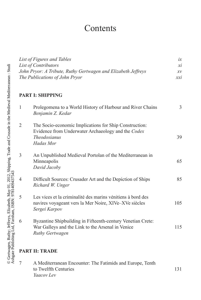## Contents

| List of Figures and Tables                                    | $l\mathcal{X}$ |
|---------------------------------------------------------------|----------------|
| List of Contributors                                          | хi             |
| John Pryor: A Tribute, Ruthy Gertwagen and Elizabeth Jeffreys | $\chi$         |
| The Publications of John Pryor                                | xxi            |

#### **PART i: Shipping**

| $\mathbf{1}$   | Prolegomena to a World History of Harbour and River Chains<br>Benjamin Z. Kedar                                                                  | 3   |
|----------------|--------------------------------------------------------------------------------------------------------------------------------------------------|-----|
| $\mathfrak{D}$ | The Socio-economic Implications for Ship Construction:<br>Evidence from Underwater Archaeology and the Codex<br><i>Theodosianus</i><br>Hadas Mor | 39  |
| 3              | An Unpublished Medieval Portolan of the Mediterranean in<br>Minneapolis<br>David Jacoby                                                          | 65  |
| 4              | Difficult Sources: Crusader Art and the Depiction of Ships<br>Richard W. Unger                                                                   | 85  |
| 5              | Les vices et la criminalité des marins vénitiens à bord des<br>navires voyageant vers la Mer Noire, XIVe-XVe siècles<br>Sergei Karpov            | 105 |
| 6              | Byzantine Shipbuilding in Fifteenth-century Venetian Crete:<br>War Galleys and the Link to the Arsenal in Venice<br>Ruthy Gertwagen              | 115 |

### **PART II: Trade**

| A Mediterranean Encounter: The Fatimids and Europe, Tenth |     |
|-----------------------------------------------------------|-----|
| to Twelfth Centuries                                      | 131 |
| <i>Yaacov Lev</i>                                         |     |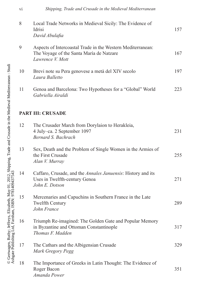| vi | Shipping, Trade and Crusade in the Medieval Mediterranean                                                                   |     |
|----|-----------------------------------------------------------------------------------------------------------------------------|-----|
| 8  | Local Trade Networks in Medieval Sicily: The Evidence of<br>Idrisi<br>David Abulafia                                        | 157 |
| 9  | Aspects of Intercoastal Trade in the Western Mediterranean:<br>The Voyage of the Santa María de Natzare<br>Lawrence V. Mott | 167 |
| 10 | Brevi note su Pera genovese a metà del XIV secolo<br>Laura Balletto                                                         | 197 |
| 11 | Genoa and Barcelona: Two Hypotheses for a "Global" World<br>Gabriella Airaldi                                               | 223 |
|    | <b>PART III: CRUSADE</b>                                                                                                    |     |
| 12 | The Crusader March from Dorylaion to Herakleia,<br>4 July-ca. 2 September 1097<br>Bernard S. Bachrach                       | 231 |
| 13 | Sex, Death and the Problem of Single Women in the Armies of<br>the First Crusade<br>Alan V. Murray                          | 255 |
| 14 | Caffaro, Crusade, and the Annales Januensis: History and its<br>Uses in Twelfth-century Genoa<br>John E. Dotson             | 271 |
| 15 | Mercenaries and Capuchins in Southern France in the Late<br><b>Twelfth Century</b><br>John France                           | 289 |
| 16 | Triumph Re-imagined: The Golden Gate and Popular Memory<br>in Byzantine and Ottoman Constantinople<br>Thomas F. Madden      | 317 |
| 17 | The Cathars and the Albigensian Crusade<br>Mark Gregory Pegg                                                                | 329 |
| 18 | The Importance of Greeks in Latin Thought: The Evidence of<br>Roger Bacon<br>Amanda Power                                   | 351 |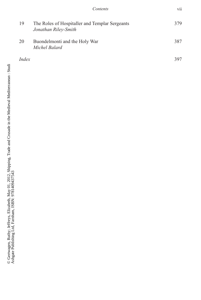|              | Contents                                                               | vii |
|--------------|------------------------------------------------------------------------|-----|
| 19           | The Roles of Hospitaller and Templar Sergeants<br>Jonathan Riley-Smith | 379 |
| 20           | Buondelmonti and the Holy War<br>Michel Balard                         | 387 |
| <i>Index</i> |                                                                        | 397 |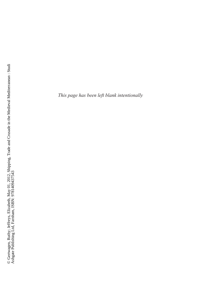*This page has been left blank intentionally*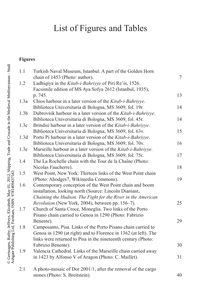# List of Figures and Tables

#### **Figures**

| 1.1              | Turkish Naval Museum, Istanbul. A part of the Golden Horn<br>chain of 1453 (Photo: author).                        | $\boldsymbol{7}$ |
|------------------|--------------------------------------------------------------------------------------------------------------------|------------------|
| 1.2              | Ladhiqiya in the Kitab-i-Bahriyye of Piri Re'is, 1526.<br>Facsimile edition of MS Aya Sofya 2612 (Istanbul, 1935), |                  |
|                  | p. 745.                                                                                                            | 13               |
| 1.3a             | Chios harbour in a later version of the Kitab-i-Bahriyye.                                                          |                  |
|                  | Biblioteca Universitaria di Bologna, MS 3609, fol. 19r.                                                            | 14               |
| 1.3 <sub>b</sub> | Dubrovnik harbour in a later version of the Kitab-i-Bahriyye.                                                      |                  |
|                  | Biblioteca Universitaria di Bologna, MS 3609, fol. 45r.                                                            | 14               |
| 1.3c             | Brindisi harbour in a later version of the Kitab-i-Bahriyye.                                                       |                  |
|                  | Biblioteca Universitaria di Bologna, MS 3609, fol. 63v.                                                            | 15               |
| 1.3d             | Porto Pi harbour in a later version of the Kitab-i-Bahriyye.                                                       |                  |
|                  | Biblioteca Universitaria di Bologna, MS 3609, fol. 70v.                                                            | 16               |
| 1.3e             | Marseille harbour in a later version of the Kitab-i-Bahriyye.                                                      |                  |
|                  | Biblioteca Universitaria di Bologna, MS 3609, fol. 75r.                                                            | 17               |
| 1.4              | The La Rochelle chain with the Tour de la Chaîne (Photo:                                                           |                  |
|                  | Nicolas Faucherre).                                                                                                | 18               |
| 1.5              | West Point, New York: Thirteen links of the West Point chain                                                       |                  |
|                  | (Photo: Ahodges7, Wikimedia Commons).                                                                              | 19               |
| 1.6              | Contemporary conception of the West Point chain and boom                                                           |                  |
|                  | installation, looking north (Source: Lincoln Diamant,                                                              |                  |
|                  | Chaining the Hudson. The Fight for the River in the American                                                       |                  |
|                  | <i>Revolution</i> (New York, 2004), between pp. 156–7).                                                            | 25               |
| 1.7              | Church of Santa Croce, Moneglia. Two links of the Porto                                                            |                  |
|                  | Pisano chain carried to Genoa in 1290 (Photo: Fabrizio                                                             |                  |
|                  | Benente).                                                                                                          | 29               |
| 1.8              | Camposanto, Pisa. Links of the Porto Pisano chain carried to                                                       |                  |
|                  | Genoa in 1290 (at right) and to Florence in 1362 (at left). The                                                    |                  |
|                  | links were returned to Pisa in the nineteenth century (Photo:                                                      |                  |
|                  | Fabrizio Benente).                                                                                                 | 30               |
| 1.9              | Valencia Cathedral. Links of the Marseille chain carried away                                                      |                  |
|                  | in 1423 by Alfonso V of Aragon (Photo: C. Maillet).                                                                | 31               |
| 2.1              | A photo-mosaic of Dor 2001/1, after the removal of the cargo                                                       |                  |
|                  | stones (Photo: S. Breitstein).                                                                                     | 40               |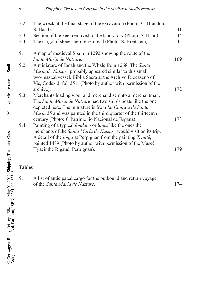| 2.2 | The wreck at the final stage of the excavation (Photo: C. Brandon,           |     |
|-----|------------------------------------------------------------------------------|-----|
|     | S. Haad).                                                                    | 41  |
| 2.3 | Section of the keel removed to the laboratory (Photo: S. Haad).              | 44  |
| 2.4 | The cargo of stones before removal (Photo: S. Breitstein).                   | 45  |
| 9.1 | A map of medieval Spain in 1292 showing the route of the                     |     |
|     | Santa María de Natzare.                                                      | 169 |
| 9.2 | A miniature of Jonah and the Whale from 1268. The Santa                      |     |
|     | <i>María de Natzare</i> probably appeared similar to this small              |     |
|     | two-masted vessel. Biblia Sacra at the Archivo Diocaseno of                  |     |
|     | Vic, Codex 3, fol. 351r (Photo by author with permission of the              |     |
|     | archive).                                                                    | 172 |
| 9.3 | Merchants loading wool and merchandise onto a merchantman.                   |     |
|     | The Santa María de Natzare had two ship's boats like the one                 |     |
|     | depicted here. The miniature is from La Cantiga de Santa                     |     |
|     | <i>María</i> 35 and was painted in the third quarter of the thirteenth       |     |
|     |                                                                              |     |
|     | century (Photo: © Patrimonio Nacional de España).                            | 173 |
| 9.4 | Painting of a typical <i>fondaco</i> or <i>lonja</i> like the ones the       |     |
|     | merchants of the Santa María de Natzare would visit on its trip.             |     |
|     | A detail of the <i>lonja</i> at Perpignan from the painting <i>Trinité</i> , |     |
|     | painted 1489 (Photo by author with permission of the Museé                   |     |
|     | Hyacinthe Rigaud, Perpignan).                                                | 179 |
|     |                                                                              |     |

#### **Tables**

| 9.1 | A list of anticipated cargo for the outbound and return voyage |     |
|-----|----------------------------------------------------------------|-----|
|     | of the Santa María de Natzare.                                 | 174 |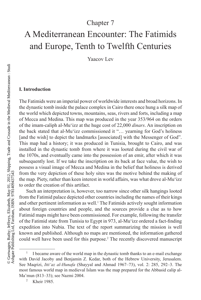## Chapter 7

## A Mediterranean Encounter: The Fatimids and Europe, Tenth to Twelfth Centuries

Yaacov Lev

#### **I. Introduction**

The Fatimids were an imperial power of worldwide interests and broad horizons. In the dynastic tomb inside the palace complex in Cairo there once hung a silk map of the world which depicted towns, mountains, seas, rivers and forts, including a map of Mecca and Medina. This map was produced in the year 353/964 on the orders of the imam-caliph al-Muʻizz at the huge cost of 22,000 *dinars*. An inscription on the back stated that al-Muʻizz commissioned it "… yearning for God's holiness [and the wish] to depict the landmarks [associated] with the Messenger of God". This map had a history; it was produced in Tunisia, brought to Cairo, and was installed in the dynastic tomb from where it was looted during the civil war of the 1070s, and eventually came into the possession of an emir, after which it was subsequently lost. If we take the inscription on its back at face value, the wish to possess a visual image of Mecca and Medina in the belief that holiness is derived from the very depiction of these holy sites was the motive behind the making of the map. Piety, rather than keen interest in world affairs, was what drove al-Muʻizz to order the creation of this artifact.

Such an interpretation is, however, too narrow since other silk hangings looted from the Fatimid palace depicted other countries including the names of their kings and other pertinent information as well.<sup>1</sup> The Fatimids actively sought information about foreign countries and people, and the sources provide a clue as to how Fatimid maps might have been commissioned. For example, following the transfer of the Fatimid state from Tunisia to Egypt in 973, al-Muʻizz ordered a fact-finding expedition into Nubia. The text of the report summarizing the mission is well known and published. Although no maps are mentioned, the information gathered could well have been used for this purpose.<sup>2</sup> The recently discovered manuscript

<sup>1</sup> I became aware of the world map in the dynastic tomb thanks to an e-mail exchange with David Jacoby and Benjamin Z. Kedar, both of the Hebrew University, Jerusalem. See Maqrizi, *Ittiʻaz al-Hunafa* (Shayyal and Ahmad 1967–73), vol. 2: 285, 292–3. The most famous world map in medieval Islam was the map prepared for the Abbasid calip al-Ma'mun (813–33); see Nazmi 2004.<br><sup>2</sup> Kheir 1985.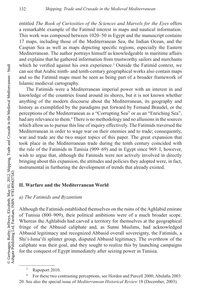entitled *The Book of Curiosities of the Sciences and Marvels for the Eyes* offers a remarkable example of the Fatimid interest in maps and nautical information. This work was composed between 1020–50 in Egypt and the manuscript contains 17 maps, including those of the Mediterranean Sea, the Indian Ocean, and the Caspian Sea as well as maps depicting specific regions, especially the Eastern Mediterranean. The author portrays himself as knowledgeable in maritime affairs and explains that he gathered information from trustworthy sailors and merchants which he verified against his own experience.<sup>3</sup> Outside the Fatimid context, we can see that Arabic ninth- and tenth-century geographical works also contain maps and so the Fatimid maps must be seen as being part of a broader framework of Islamic medieval cartography.

The Fatimids were a Mediterranean imperial power with an interest in and knowledge of the countries found around its shores, but it is not known whether anything of the modern discourse about the Mediterranean, its geography and history as exemplified by the paradigms put forward by Fernand Braudel, or the perceptions of the Mediterranean as a "Corrupting Sea" or as an "Enriching Sea", had any relevance to them.<sup>4</sup> There is no methodology and no allusions in the sources which allow us to pursue this line of inquiry effectively. The Fatimids traversed the Mediterranean in order to wage war on their enemies and to trade; consequently, war and trade are the two major topics of this paper. The great expansion that took place in the Mediterranean trade during the tenth century coincided with the rule of the Fatimids in Tunisia (909–69) and in Egypt since 969. I, however, wish to argue that, although the Fatimids were not actively involved in directly bringing about this expansion, the attitudes and policies they adopted were, in fact, instrumental in furthering the development of trends that already existed.

#### **II. Warfare and the Mediterranean World**

#### *a) The Fatimids and Byzantium*

Although the Fatimids established themselves on the ruins of the Aghlabid emirate of Tunisia (800–909), their political ambitions were of a much broader scope. Whereas the Aghlabids had carved a territory for themselves at the geographical fringe of the Abbasid caliphate and, as Sunni Muslims, had acknowledged Abbasid legitimacy and recognized Abbasid overall sovereignty, the Fatimids, a Shiʻi-Ismaʻili splinter group, disputed Abbasid legitimacy. The overthrow of the caliphate was their goal, and they sought to realize this by launching campaigns for the conquest of Egypt immediately after seizing power in Tunisia.

<sup>3</sup> Rapoport 2010.

<sup>4</sup> For these two contrasting perceptions, see Horden and Purcell 2000; Abulafia 2003: 20. See also the special issue of *Mediterranean Historical Review* 18 (December, 2003).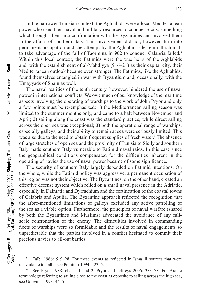In the narrower Tunisian context, the Aghlabids were a local Mediterranean power who used their naval and military resources to conquer Sicily, something which brought them into confrontation with the Byzantines and involved them in the affairs of southern Italy. This involvement did not, however, turn into permanent occupation and the attempt by the Aghlabid ruler emir Ibrahim II to take advantage of the fall of Taormina in 902 to conquer Calabria failed.<sup>5</sup> Within this local context, the Fatimids were the true heirs of the Aghlabids and, with the establishment of al-Mahdiyya (916–21) as their capital city, their Mediterranean outlook became even stronger. The Fatimids, like the Aghlabids, found themselves entangled in war with Byzantium and, occasionally, with the Umayyads of Spain as well.

The naval realities of the tenth century, however, hindered the use of naval power in international conflicts. We owe much of our knowledge of the maritime aspects involving the operating of warships to the work of John Pryor and only a few points must be re-emphasized: 1) the Mediterranean sailing season was limited to the summer months only, and came to a halt between November and April; 2) sailing along the coast was the standard practice, while direct sailing across the open sea was exceptional; 3) both the operational range of warships, especially galleys, and their ability to remain at sea were seriously limited. This was also due to the need to obtain frequent supplies of fresh water.<sup>6</sup> The absence of large stretches of open sea and the proximity of Tunisia to Sicily and southern Italy made southern Italy vulnerable to Fatimid naval raids. In this case since the geographical conditions compensated for the difficulties inherent in the operating of navies the use of naval power became of some significance.

The security of southern Italy largely depended on Fatimid intentions. On the whole, while the Fatimid policy was aggressive, a permanent occupation of this region was not their objective. The Byzantines, on the other hand, created an effective defense system which relied on a small naval presence in the Adriatic, especially in Dalmatia and Dyrrachium and the fortification of the coastal towns of Calabria and Apulia. The Byzantine approach reflected the recognition that the afore-mentioned limitations of galleys excluded any active patrolling of the sea as a viable option. Furthermore, the principles of naval warfare (shared by both the Byzantines and Muslims) advocated the avoidance of any fullscale confrontation of the enemy. The difficulties involved in commanding fleets of warships were so formidable and the results of naval engagements so unpredictable that the parties involved in a conflict hesitated to commit their precious navies to all-out battles.

<sup>5</sup> Talbi 1966: 519–28. For these events as reflected in Ismaʻili sources that were unavailable to Talbi, see Pellitteri 1994: 123–5.

<sup>6</sup> See Pryor 1988: chaps. 1 and 2; Pryor and Jeffreys 2006: 333–78. For Arabic terminology referring to sailing close to the coast as opposite to sailing across the high sea, see Udovitch 1993: 44–5.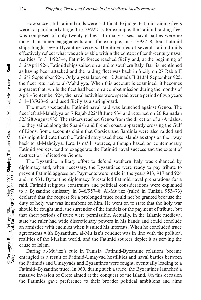How successful Fatimid raids were is difficult to judge. Fatimid raiding fleets were not particularly large. In 310/922–3, for example, the Fatimid raiding fleet was composed of only twenty galleys. In many cases, naval battles were no more than minor engagements and, for example, in 315/927–8, four Fatimid ships fought seven Byzantine vessels. The itineraries of several Fatimid raids effectively reflect what was achievable within the context of tenth-century naval realities. In 311/923–4, Fatimid forces reached Sicily and, at the beginning of 312/April 924, Fatimid ships sailed on a raid to southern Italy. Bari is mentioned as having been attacked and the raiding fleet was back in Sicily on 27 Rabia II 312/7 September 924. Only a year later, on 12 Jumada II 313/4 September 925, the fleet returned to al-Mahdiyya. When this account is examined, it becomes apparent that, while the fleet had been on a combat mission during the months of April–September 924, the naval activities were spread over a period of two years 311–13/923–5, and used Sicily as a springboard.

The most spectacular Fatimid naval raid was launched against Genoa. The fleet left al-Mahdiyya on 7 Rajab 322/18 June 934 and returned on 26 Ramadan 323/28 August 935. The raiders reached Genoa from the direction of al-Andalus, i.e. they sailed along the Spanish and French coast, apparently crossing the Gulf of Lions. Some accounts claim that Corsica and Sardinia were also raided and this might indicate that the Fatimid navy used these islands as stops on their way back to al-Mahdiyya. Late Ismaʻili sources, although based on contemporary Fatimid sources, tend to exaggerate the Fatimid naval success and the extent of destruction inflicted on Genoa.

The Byzantine military effort to defend southern Italy was enhanced by diplomacy and, when necessary, the Byzantines were ready to pay tribute to prevent Fatimid aggression. Payments were made in the years 913, 917 and 924 and, in 931, Byzantine diplomacy forestalled Fatimid naval preparations for a raid. Fatimid religious constraints and political considerations were explained to a Byzantine emissary in 346/957–8. Al-Muʻizz (ruled in Tunisia 953–73) declared that the request for a prolonged truce could not be granted because the duty of holy war was incumbent on him. He went on to state that the holy war should be fought until the surrender of the infidels or the payment of tribute, but that short periods of truce were permissible. Actually, in the Islamic medieval state the ruler had wide discretionary powers in his hands and could conclude an armistice with enemies when it suited his interests. When he concluded truce agreements with Byzantium, al-Muʻizz's conduct was in line with the political realities of the Muslim world, and the Fatimid sources depict it as serving the cause of Islam.

During al-Muʻizz's rule in Tunisia, Fatimid-Byzantine relations became entangled as a result of Fatimid-Umayyad hostilities and naval battles between the Fatimids and Umayyads and Byzantines were fought, eventually leading to a Fatimid–Byzantine truce. In 960, during such a truce, the Byzantines launched a massive invasion of Crete aimed at the conquest of the island. On this occasion the Fatimids gave preference to their broader political ambitions and aims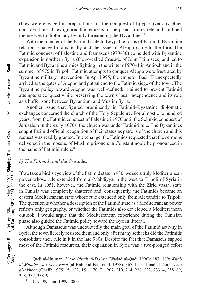(they were engaged in preparations for the conquest of Egypt) over any other considerations. They ignored the requests for help sent from Crete and confined themselves to diplomacy by only threatening the Byzantines.7

With the transfer of the Fatimid state to Egypt the focus of Fatimid–Byzantine relations changed dramatically and the issue of Aleppo came to the fore. The Fatimid conquest of Palestine and Damascus (970–80) coincided with Byzantine expansion in northern Syria (the so-called Crusade of John Tzimisces) and led to Fatimid and Byzantine armies fighting in the winter of 970–1 in Antioch and in the summer of 975 in Tripoli. Fatimid attempts to conquer Aleppo were frustrated by Byzantine military intervention. In April 995, the emperor Basil II unexpectedly arrived at the gates of Aleppo and put an end to the Fatimid siege of the town. The Byzantine policy toward Aleppo was well-defined: it aimed to prevent Fatimid attempts at conquest while preserving the town's local independence and its role as a buffer zone between Byzantium and Muslim Syria.

Another issue that figured prominently in Fatimid–Byzantine diplomatic exchanges concerned the church of the Holy Sepulchre. For almost one hundred years, from the Fatimid conquest of Palestine in 970 until the Seljukid conquest of Jerusalem in the early 1070s, the church was under Fatimid rule. The Byzantines sought Fatimid official recognition of their status as patrons of the church and this request was readily granted. In exchange, the Fatimids requested that the sermons delivered in the mosque of Muslim prisoners in Constantinople be pronounced in the name of Fatimid rulers.<sup>8</sup>

#### *b) The Fatimids and the Crusades*

If we take a bird's eye view of the Fatimid state in 980, we see a truly Mediterranean power whose rule extended from al-Mahdiyya in the west to Tripoli of Syria in the east. In 1051, however, the Fatimid relationship with the Zirid vassal state in Tunisia was completely shattered and, consequently, the Fatimids became an eastern Mediterranean state whose rule extended only from Alexandria to Tripoli. The question is whether a description of the Fatimid state as a Mediterranean power reflects only geography, or whether the Fatimids also developed a Mediterranean outlook. I would argue that the Mediterranean experience during the Tunisian phase also guided the Fatimid policy toward the Syrian littoral.

Although Damascus was undoubtedly the main goal of the Fatimid activity in Syria, the town fiercely resisted them and only after many setbacks did the Fatimids consolidate their rule in it in the late 980s. Despite the fact that Damascus sapped most of the Fatimid resources, their expansion in Syria was a two-pronged effort

<sup>7</sup> Qadi al-Nuʻman, *Kitab Iftitah al-Daʻwa* (Wadad al-Qadi 1996): 187, 189; *Kitab al-Majalis wa-l-Musayarat* (al-Habib al-Faqi et al. 1978): 367; Idris ʻImad al-Din, *ʻUyun al-Akhbar* (Ghalib 1975): 5: 132, 151, 170–71, 207, 210, 214, 228, 232, 233–4, 258–89, 328, 337, 338–9.

<sup>8</sup> Lev 1995 and 1999–2000.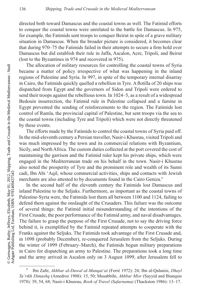directed both toward Damascus and the coastal towns as well. The Fatimid efforts to conquer the coastal towns were unrelated to the battle for Damascus. In 975, for example, the Fatimids sent troops to conquer Beirut in spite of a grave military situation in Damascus. When the broader picture is considered, it becomes clear that during 970–75 the Fatimids failed in their attempts to secure a firm hold over Damascus but did establish their rule in Jaffa, Ascalon, Acre, Tripoli, and Beirut (lost to the Byzantines in 974 and recovered in 975).

The allocation of military resources for controlling the coastal towns of Syria became a matter of policy irrespective of what was happening in the inland regions of Palestine and Syria. In 997, in spite of the temporary internal disarray in Cairo, the Fatimids quickly quelled a rebellion in Tyre. A flotilla of 20 ships was dispatched from Egypt and the governors of Sidon and Tripoli were ordered to send their troops against the rebellious town. In 1024–5, as a result of a widespread Bedouin insurrection, the Fatimid rule in Palestine collapsed and a famine in Egypt prevented the sending of reinforcements to the region. The Fatimids lost control of Ramla, the provincial capital of Palestine, but sent troops via the sea to the coastal towns (including Tyre and Tripoli) which were not directly threatened by these events.

The efforts made by the Fatimids to control the coastal towns of Syria paid off. In the mid-eleventh century a Persian traveller, Nasir-i Khusrau, visited Tripoli and was much impressed by the town and its commercial relations with Byzantium, Sicily, and North Africa. The custom duties collected at the port covered the cost of maintaining the garrison and the Fatimid ruler kept his private ships, which were engaged in the Mediterranean trade on his behalf in the town. Nasir-i Khusrau also noted the prosperity of Tyre and the prominent role and wealth of its Sunni cadi, Ibn Abi ʻAqil, whose commercial activities, ships and contacts with Jewish merchants are also attested to by documents found in the Cairo Geniza.<sup>9</sup>

In the second half of the eleventh century the Fatimids lost Damascus and inland Palestine to the Seljuks. Furthermore, as important as the coastal towns of Palestine-Syria were, the Fatimids lost them all between 1100 and 1124, failing to defend them against the onslaught of the Crusaders. This failure was the outcome of several things: the Fatimid initial misunderstanding of the intentions of the First Crusade, the poor performance of the Fatimid army, and naval disadvantages. The failure to grasp the purpose of the First Crusade, not to say the driving force behind it, is exemplified by the Fatimid repeated attempts to cooperate with the Franks against the Seljuks. The Fatimids took advantage of the First Crusade and, in 1098 (probably December), re-conquered Jerusalem from the Seljuks. During the winter of 1099 (February–March), the Fatimids begun military preparations in Cairo for dispatching an army to Palestine. The preparations took a long time and the army arrived in Ascalon only on 3 August 1099, after Jerusalem fell to

<sup>9</sup> Ibn Zafir, *Akhbar al-Duwal al-Munqatʻai* (Ferré 1972): 24; Ibn al-Qalanisi, *Dhayl Ta'rikh Dimashq* (Amedroz 1908): 15, 50; Musabbihi, *Akhbar Misr* (Sayyid and Bianquis 1978): 39, 54, 68; Nasir-i Khusrau, *Book of Travel (Safarnama)* (Thackston 1986): 13–17.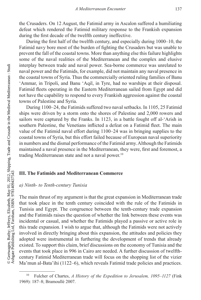the Crusaders. On 12 August, the Fatimid army in Ascalon suffered a humiliating defeat which rendered the Fatimid military response to the Frankish expansion during the first decade of the twelfth century ineffective.

During the first half of the twelfth century, and especially during 1000–10, the Fatimid navy bore most of the burden of fighting the Crusaders but was unable to prevent the fall of the coastal towns. More than anything else this failure highlights some of the naval realities of the Mediterranean and the complex and elusive interplay between trade and naval power. Sea-borne commerce was unrelated to naval power and the Fatimids, for example, did not maintain any naval presence in the coastal towns of Syria. Thus the commercially oriented ruling families of Banu ʻAmmar, in Tripoli, and Banu ʻAqil, in Tyre, had no warships at their disposal. Fatimid fleets operating in the Eastern Mediterranean sailed from Egypt and did not have the capability to respond to every Frankish aggression against the coastal towns of Palestine and Syria.

During 1100–24, the Fatimids suffered two naval setbacks. In 1105, 25 Fatimid ships were driven by a storm onto the shores of Palestine and 2,000 rowers and sailors were captured by the Franks. In 1123, in a battle fought off al-ʻArish in southern Palestine, the Venetians inflicted a defeat on a Fatimid fleet. The main value of the Fatimid naval effort during 1100–24 was in bringing supplies to the coastal towns of Syria, but this effort failed because of European naval superiority in numbers and the dismal performance of the Fatimid army. Although the Fatimids maintained a naval presence in the Mediterranean, they were, first and foremost, a trading Mediterranean state and not a naval power.<sup>10</sup>

#### **III. The Fatimids and Mediterranean Commerce**

#### *a) Ninth- to Tenth-century Tunisia*

The main thrust of my argument is that the great expansion in Mediterranean trade that took place in the tenth century coincided with the rule of the Fatimids in Tunisia and Egypt. The congruence between the tenth-century trade expansion and the Fatimids raises the question of whether the link between these events was incidental or casual, and whether the Fatimids played a passive or active role in this trade expansion. I wish to argue that, although the Fatimids were not actively involved in directly bringing about this expansion, the attitudes and policies they adopted were instrumental in furthering the development of trends that already existed. To support this claim, brief discussions on the economy of Tunisia and the events that took place in 996 in Cairo are needed. A further discussion of twelfthcentury Fatimid Mediterranean trade will focus on the shopping list of the vizier Ma'mun al-Bata'ihi (1122–6), which reveals Fatimid trade policies and practices.

<sup>10</sup> Fulcher of Chartes, *A History of the Expedition to Jerusalem, 1095–1127* (Fink 1969): 187–8; Bramoullé 2007.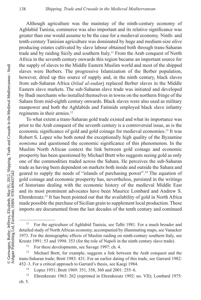Although agriculture was the mainstay of the ninth-century economy of Aghlabid Tunisia, commerce was also important and its relative significance was greater than one would assume to be the case for a medieval economy. Ninth- and tenth-century Tunisian agriculture was dominated by huge and medium-size olive producing estates cultivated by slave labour obtained both through trans-Saharan trade and by raiding Sicily and southern Italy.11 From the Arab conquest of North Africa in the seventh century onwards this region became an important source for the supply of slaves to the Middle Eastern Muslim world and most of the shipped slaves were Berbers. The progressive Islamization of the Berber population, however, dried up this source of supply and, in the ninth century, black slaves from sub-Saharan Africa (*bilad al-sudan*) replaced Berber slaves in the Middle Eastern slave markets. The sub-Saharan slave trade was initiated and developed by Ibadi merchants who installed themselves in towns on the northern fringe of the Sahara from mid-eighth century onwards. Black slaves were also used as military manpower and both the Aghlabids and Fatimids employed black slave infantry regiments in their armies.<sup>12</sup>

To what extent a trans-Saharan gold trade existed and what its importance was prior to the Arab conquest of the seventh century is a controversial issue, as is the economic significance of gold and gold coinage for medieval economies.13 It was Robert S. Lopez who both noted the exceptionally high quality of the Byzantine *nomisma* and questioned the economic significance of this phenomenon. In the Muslim North African context the link between gold coinage and economic prosperity has been questioned by Michael Brett who suggests seeing gold as only one of the commodities traded across the Sahara. He perceives the sub-Saharan trade as having been dependent on markets both inside and outside the Sahara and geared to supply the needs of "islands of purchasing power".14 The equation of gold coinage and economic prosperity has, nevertheless, persisted in the writings of historians dealing with the economic history of the medieval Middle East and its most prominent advocates have been Maurice Lombard and Andrew S. Ehrenkreutz.15 It has been pointed out that the availability of gold in North Africa made possible the purchase of Sicilian grain to supplement local production. These imports are documented from the last decades of the tenth century and continued

<sup>11</sup> For the agriculture of Aghlabid Tunisia, see Talbi 1981. For a much broader and detailed study of North African economy, accompanied by illuminating maps, see Vanacker 1973. For the demographic effects of Muslim raiding on ninth-century southern Italy, see Kreutz 1991: 53 and 1994: 353 (for the role of Napoli in the ninth century slave trade).

<sup>&</sup>lt;sup>12</sup> For these developments, see Savage 1997: ch. 4.

Michael Brett, for example, suggests a link between the Arab conquest and the trans-Saharan trade; Brett 1983: 431. For an earlier dating of this trade, see Garrard 1982: 452–3. For a critical approach to Garrard's thesis, see Kaegi 1984.

<sup>&</sup>lt;sup>14</sup> Lopez 1951; Brett 1969: 351, 358, 360 and 2001: 255–6.<br><sup>15</sup> Ekropleroutz 1963: 262 (consisted in Ekropleroutz 1992:

<sup>15</sup> Ehrenkreutz 1963: 262 (reprinted in Ehrenkreutz 1992: no. VII); Lombard 1975: ch. 5.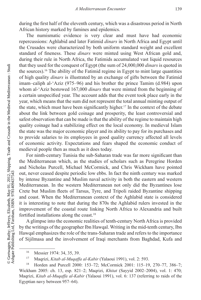during the first half of the eleventh century, which was a disastrous period in North African history marked by famines and epidemics.

The numismatic evidence is very clear and must have had economic repercussions: Aghlabid and later Fatimid *dinars* in North Africa and Egypt until the Crusades were characterized by both uniform standard weight and excellent standard of fineness. These *dinars* were minted using West African gold and, during their rule in North Africa, the Fatimids accumulated vast liquid resources that they used for the conquest of Egypt (the sum of 24,000,000 *dinars* is quoted in the sources).16 The ability of the Fatimid regime in Egypt to mint large quantities of high quality *dinars* is illustrated by an exchange of gifts between the Fatimid imam–caliph al-ʻAziz (975–96) and his brother the prince Tamim (d.984) upon whom al-ʻAziz bestowed 167,000 *dinars* that were minted from the beginning of a certain unspecified year. The account adds that the event took place early in the year, which means that the sum did not represent the total annual minting output of the state, which must have been significantly higher.17 In the context of the debate about the link between gold coinage and prosperity, the least controversial and safest observation that can be made is that the ability of the regime to maintain high quality coinage had a stabilizing effect on the local economy. In medieval Islam the state was the major economic player and its ability to pay for its purchases and to provide salaries to its employees in good quality currency affected all levels of economic activity. Expectations and fears shaped the economic conduct of medieval people then as much as it does today.

For ninth-century Tunisia the sub-Saharan trade was far more significant than the Mediterranean which, as the studies of scholars such as Peregrine Horden and Nicholas Purcell, Michael McCormick, and Chris Wickham have pointed out, never ceased despite periodic low ebbs. In fact the ninth century was marked by intense Byzantine and Muslim naval activity in both the eastern and western Mediterranean. In the western Mediterranean not only did the Byzantines lose Crete but Muslim fleets of Tarsus, Tyre, and Tripoli raided Byzantine shipping and coast. When the Mediterranean context of the Aghlabid state is considered it is interesting to note that during the 870s the Aghlabid rulers invested in the improvement of the coastal route linking North Africa to Alexandria and built fortified installations along the coast.<sup>18</sup>

A glimpse into the economic realities of tenth-century North Africa is provided by the writings of the geographer Ibn Hawqal. Writing in the mid-tenth century, Ibn Hawqal emphasizes the role of the trans-Saharan trade and refers to the importance of Sijilmasa and the involvement of Iraqi merchants from Baghdad, Kufa and

<sup>16</sup> Messier 1974: 34, 35, 39. 17 Maqrizi, *Kitab al-Muqaffa al-Kabir* (Yalaoui 1991), vol. 2: 593.

<sup>18</sup> Horden and Purcell 2000: 153–72; McCormick 2001: 115–19, 270–77, 386–7; Wickham 2005: ch. 13, esp. 821–2; Maqrizi, *Khitat* (Sayyid 2002–2004), vol. 1: 470; Maqrizi, *Kitab al-Muqaffa al-Kabir* (Yalaoui 1991), vol. 6: 137 (referring to raids of the Egyptian navy between 957–64).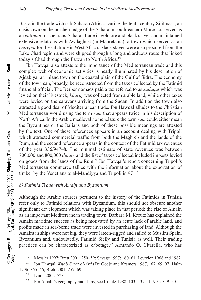Basra in the trade with sub-Saharan Africa. During the tenth century Sijilmasa, an oasis town on the northern edge of the Sahara in south-eastern Morocco, served as an *entrepôt* for the trans-Saharan trade in gold ore and black slaves and maintained extensive relations with Awdaghust (in Mauretania), a town which served as an *entrepôt* for the salt trade in West Africa. Black slaves were also procured from the Lake Chad region and were shipped through a long and arduous route that linked today's Chad through the Fazzan to North Africa.<sup>19</sup>

Ibn Hawqal also attests to the importance of the Mediterranean trade and this complex web of economic activities is neatly illuminated by his description of Ajdabiya, an inland town on the coastal plain of the Gulf of Sidra. The economy of the town can, broadly, be reconstructed from the taxes collected by the Fatimid financial official. The Berber nomads paid a tax referred to as *sadaqat* which was levied on their livestock; *kharaj* was collected from arable land, while other taxes were levied on the caravans arriving from the Sudan. In addition the town also attracted a good deal of Mediterranean trade. Ibn Hawqal alludes to the Christian Mediterranean world using the term *rum* that appears twice in his description of North Africa. In the Arabic medieval nomenclature the term *rum* could either mean the Byzantines or the Italians and both of these possible meanings are attested by the text. One of these references appears in an account dealing with Tripoli which attracted commercial traffic from both the Maghreb and the lands of the Rum, and the second reference appears in the context of the Fatimid tax revenues of the year 336/947–8. The minimal estimate of state revenues was between 700,000 and 800,000 *dinars* and the list of taxes collected included imposts levied on goods from the lands of the Rum.<sup>20</sup> Ibn Hawqal's report concerning Tripoli's Mediterranean commerce tallies with the information about the exportation of timber by the Venetians to al-Mahdiyya and Tripoli in 971.<sup>21</sup>

#### *b) Fatimid Trade with Amalfi and Byzantium*

Although the Arabic sources pertinent to the history of the Fatimids in Tunisia refer only to Fatimid relations with Byzantium, this should not obscure another significant development which was taking place in that period: the rise of Amalfi as an important Mediterranean trading town. Barbara M. Kreutz has explained the Amalfi maritime success as being motivated by an acute lack of arable land, and profits made in sea-borne trade were invested in purchasing of land. Although the Amalfitan ships were not big, they were lateen-rigged and sailed to Muslim Spain, Byzantium and, undoubtedly, Fatimid Sicily and Tunisia as well. Their trading practices can be characterized as cabotage.<sup>22</sup> Armando O. Citarella, who has

<sup>19</sup> Messier 1997; Brett 2001: 250–59; Savage 1997: 160–61; Levtzion 1968 and 1982.

<sup>&</sup>lt;sup>20</sup> Ibn Hawqal, *Kitab Surat al-Ard* (De Goeje and Kramers 1967): 67, 69, 97; Halm 1996: 355–66; Brett 2001: 257–69.

<sup>21</sup> Laiou 2002: 723.

<sup>&</sup>lt;sup>22</sup> For Amalfi's geography and ships, see Kreutz 1988: 103–13 and 1994: 349–50.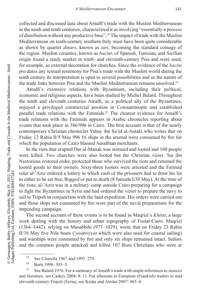collected and discussed data about Amalfi's trade with the Muslim Mediterranean in the ninth and tenth centuries, characterized it as involving "essentially a process of distribution without any productive base".23 The impact of trade with the Muslim Mediterranean on tenth-century southern Italy must have been quite considerable as shown by quarter *dinars*, known as *tari*, becoming the standard coinage of the region. Muslim ceramics, known as *bacini*, of Spanish, Tunisian, and Sicilian origin found a ready market in tenth- and eleventh-century Pisa and were used, for example, as external decoration for churches. Since the evidence of the *bacini* pre-dates any textual testimony for Pisa's trade with the Muslim world during the tenth century its interpretation is open to several possibilities and so the nature of the trade links between Pisa and the Muslim Mediterranean remains unsolved.<sup>24</sup>

Amalfi's extensive relations with Byzantium, including their political, economic and religious aspects, have been studied by Michel Balard. Throughout the tenth and eleventh centuries Amalfi, as a political ally of the Byzantines, enjoyed a privileged commercial position in Constantinople and established parallel trade relations with the Fatimids.<sup>25</sup> The clearest evidence for Amalfi's trade relations with the Fatimids appears in Arabic chronicles reporting about events that took place in 386/996 in Cairo. The first account is that of the nearly contemporary Christian chronicler Yahay ibn Saʻid al-Antaki who writes that on Friday 12 Rabia II/5 May 996 16 ships in the arsenal were consumed by fire for which the population of Cairo blamed Amalfitan merchants.

In the riots that erupted Dar al-Manak was stormed and looted and 160 people were killed. Two churches were also looted but the Christian vizier ʻIsa ibn Nestorious restored order, protected those who survived the riots and returned the looted goods to their owners. Sixty-three looters were arrested and the Fatimid ruler al-ʻAziz ordered a lottery in which each of the prisoners had to draw his lot to either to be set free, flogged or put to death (8 Jumada I/30 May). At the time of the riots, al-ʻAziz was in a military camp outside Cairo preparing for a campaign to fight the Byzantines in Syria and had ordered the vizier to prepare the navy to sail to Tripoli in conjunction with the land expedition. His orders were carried out and those ships not consumed by fire were part of the naval preparations for the impending campaign.

The second account of these events is to be found in Maqrizi's *Khitat*, a large work dealing with the history and urban topography of Fustat-Cairo. Maqrizi (1364–1442), relying on Musabbihi (977–1029), wrote that on Friday 23 Rabia II/16 May five Nile boats (ʻ*usahriyyat* which were also used for coastal sailing) and warships were consumed by fire and only six ships remained intact. Sailors and the common people attacked and killed 107 Rum Christians who were at

<sup>23</sup> See Citarella 1967 and 1993: 279.

<sup>24</sup> Berti 1998: 303–5.

<sup>&</sup>lt;sup>25</sup> See Balard 1976. For a summary of Amalfi's trade with ample references to sources and literature, see Caskey 2004: 8–11. For allusions to European (Frankish) traders in mid eleventh-century Tripoli (Syria), see Kedar and Amitai 2007: 465–8.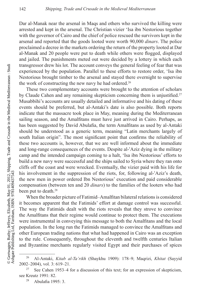Dar al-Manak near the arsenal in Maqs and others who survived the killing were arrested and kept in the arsenal. The Christian vizier ʻIsa ibn Nestorious together with the governor of Cairo and the chief of police rescued the survivors kept in the arsenal and reported that the goods looted were worth 90,000 *dinars*. The police proclaimed a decree in the markets ordering the return of the property looted at Dar al-Manak and 20 people were put to death while others were flogged, displayed and jailed. The punishments meted out were decided by a lottery in which each transgressor drew his lot. The account conveys the general feeling of fear that was experienced by the population. Parallel to these efforts to restore order, ʻIsa ibn Nestorious brought timber to the arsenal and stayed there overnight to supervise the work of constructing the new navy he had ordered.<sup>26</sup>

These two complementary accounts were brought to the attention of scholars by Claude Cahen and any remaining skepticism concerning them is unjustified.<sup>27</sup> Musabbihi's accounts are usually detailed and informative and his dating of these events should be preferred, but al-Antaki's date is also possible. Both reports indicate that the massacre took place in May, meaning during the Mediterranean sailing season, and the Amalfitans must have just arrived in Cairo. Perhaps, as has been suggested by David Abulafia, the term Amalfitans as used by al-Antaki should be understood as a generic term, meaning "Latin merchants largely of south Italian origin". The most significant point that confirms the reliability of these two accounts is, however, that we are well informed about the immediate and long-range consequences of the events. Despite al-ʻAziz dying in the military camp and the intended campaign coming to a halt, ʻIsa ibn Nestorious' efforts to build a new navy were successful and the ships sailed to Syria where they ran onto cliffs off the coast and were wrecked. Eventually, the vizier paid with his life for his involvement in the suppression of the riots, for, following al-'Aziz's death, the new men in power ordered Ibn Nestorious' execution and paid considerable compensation (between ten and 20 *dinars*) to the families of the looters who had been put to death.<sup>28</sup>

When the broader picture of Fatimid–Amalfitan bilateral relations is considered it becomes apparent that the Fatimids' effort at damage control was successful. The way the Fatimids dealt with the riots reveals that they strove to convince the Amalfitans that their regime would continue to protect them. The executions were instrumental in conveying this message to both the Amalfitans and the local population. In the long run the Fatimids managed to convince the Amalfitans and other European trading nations that what had happened in Cairo was an exception to the rule. Consequently, throughout the eleventh and twelfth centuries Italian and Byzantine merchants regularly visited Egypt and their purchases of spices

<sup>26</sup> Al-Antaki, *Kitab al-Ta'rikh* (Shaykhu 1909): 178–9; Maqrizi, *Khitat* (Sayyid 2002–2004), vol. 3: 619–21.<br><sup>27</sup> See Cahen 1953–4 for a discussion of this text; for an expression of skepticism,

see Kreutz 1991: 82.<br><sup>28</sup> Abulafia 1995: 3.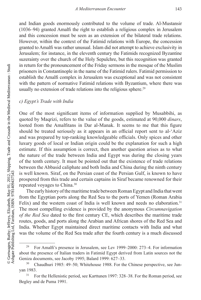and Indian goods enormously contributed to the volume of trade. Al-Mustansir (1036–94) granted Amalfi the right to establish a religious complex in Jerusalem and this concession must be seen as an extension of the bilateral trade relations. However, within the context of the Fatimid relations with Europe, the concession granted to Amalfi was rather unusual. Islam did not attempt to achieve exclusivity in Jerusalem; for instance, in the eleventh century the Fatimids recognized Byzantine suzerainty over the church of the Holy Sepulchre, but this recognition was granted in return for the pronouncement of the Friday sermons in the mosque of the Muslim prisoners in Constantinople in the name of the Fatimid rulers. Fatimid permission to establish the Amalfi complex in Jerusalem was exceptional and was not consistent with the pattern of normative Fatimid relations with Byzantium, where there was usually no extension of trade relations into the religious sphere.<sup>29</sup>

#### *c) Egypt's Trade with India*

One of the most significant items of information supplied by Musabbihi, as quoted by Maqrizi, refers to the value of the goods, estimated at 90,000 *dinars*, looted from the Amalfitans in Dar al-Manak. It seems to me that this figure should be treated seriously as it appears in an official report sent to al-ʻAziz and was prepared by top-ranking knowledgeable officials. Only spices and other luxury goods of local or Indian origin could be the explanation for such a high estimate. If this assumption is correct, then another question arises as to what the nature of the trade between India and Egypt was during the closing years of the tenth century. It must be pointed out that the existence of trade relations between the Abbasid caliphate and both India and China during the ninth century is well known. Siraf, on the Persian coast of the Persian Gulf, is known to have prospered from this trade and certain captains in Siraf became renowned for their repeated voyages to China.<sup>30</sup>

The early history of the maritime trade between Roman Egypt and India that went from the Egyptian ports along the Red Sea to the ports of Yemen (Roman Arabia Felix) and the western coast of India is well known and needs no elaboration.<sup>31</sup> The most compelling evidence is provided by the anonymous *Circumnavigation of the Red Sea* dated to the first century CE, which describes the maritime trade routes, goods, and ports along the Arabian and African shores of the Red Sea and India. Whether Egypt maintained direct maritime contacts with India and what was the volume of the Red Sea trade after the fourth century is a much discussed

<sup>&</sup>lt;sup>29</sup> For Amalfi's presence in Jerusalem, see Lev 1999–2000: 273–4. For information about the presence of Italian traders in Fatimid Egypt derived from Latin sources not the Geniza documents, see Jacoby 1995; Balard 1999: 627–33.<br><sup>30</sup> Chaudhuri 1985: 49–50; Whitehouse 1988. For the Chinese perspective, see Jun-

yan 1983.

<sup>&</sup>lt;sup>31</sup> For the Hellenistic period, see Karttunen 1997: 328–38. For the Roman period, see Begley and de Puma 1991.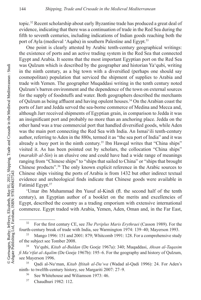topic.<sup>32</sup> Recent scholarship about early Byzantine trade has produced a great deal of evidence, indicating that there was a continuation of trade in the Red Sea during the fifth to seventh centuries, including indications of Indian goods reaching both the port of Ayla (medieval 'Aqaba) in southern Palestine and Egypt.<sup>33</sup>

One point is clearly attested by Arabic tenth-century geographical writings: the existence of ports and an active trading system in the Red Sea that connected Egypt and Arabia. It seems that the most important Egyptian port on the Red Sea was Qulzum which is described by the geographer and historian Yaʻqubi, writing in the ninth century, as a big town with a diversified (perhaps one should say cosmopolitan) population that serviced the shipment of supplies to Arabia and trade with Yemen. The geographer Muqaddasi writing in the tenth century noted Qulzum's barren environment and the dependence of the town on external sources for the supply of foodstuffs and water. Both geographers described the merchants of Qulzum as being affluent and having opulent houses.34 On the Arabian coast the ports of Jarr and Jedda served the sea-borne commerce of Medina and Mecca and, although Jarr received shipments of Egyptian grain, in comparison to Jedda it was an insignificant port and probably no more than an anchoring place. Jedda on the other hand was a true commercial port that handled diversified goods, while Aden was the main port connecting the Red Sea with India. An Ismaiʻili tenth-century author, referring to Aden in the 880s, termed it as "the sea port of India" and it was already a busy port in the ninth century.<sup>35</sup> Ibn Hawqal writes that "China ships" visited it. As has been pointed out by scholars, the collocation "China ships" (*marakib al-Sin*) is an elusive one and could have had a wide range of meanings ranging from "Chinese ships" to "ships that sailed to China" or "ships that brought Chinese products".36 The only known explicit reference in the Arabic sources to Chinese ships visiting the ports of Arabia is from 1432 but other indirect textual evidence and archeological finds indicate that Chinese goods were available in Fatimid Egypt.<sup>37</sup>

ʻUmar ibn Muhammad ibn Yusuf al-Kindi (fl. the second half of the tenth century), an Egyptian author of a booklet on the merits and excellencies of Egypt, described the country as a trading emporium with extensive international commerce. Egypt traded with Arabia, Yemen, Aden, Oman and, in the Far East,

<sup>37</sup> Chaudhuri 1982: 112.

<sup>32</sup> For the first century CE, see *The Periplus Maris Erythraei* (Casson 1989). For the fourth-century break of trade with India, see Warmington 1974: 139–40; Mayerson 1993.

<sup>&</sup>lt;sup>33</sup> Mango 1996: 151 and 2001: 879; Whitcomb 1991: 128. For a comprehensive study of the subject see Tomber 2008.

<sup>34</sup> Yaʻqubi, *Kitab al-Buldan* (De Goeje 1967a): 340; Muqaddasi, *Ahsan al-Taqasim fi Maʻrifat al-Aqalim* (De Goeje 1967b): 195–6. For the geography and history of Qulzum, see Mayerson 1996.

<sup>35</sup> Qadi al-Nuʻman, *Kitab Iftitah al-Daʻwa* (Wadad al-Qadi 1996): 24. For Aden's ninth- to twelfth-century history, see Margariti 2007: 27–9.

<sup>36</sup> See Whitehouse and Wiliamson 1973: 46.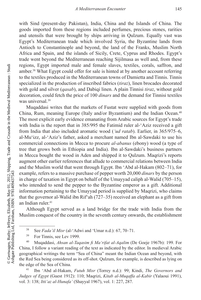with Sind (present-day Pakistan), India, China and the Islands of China. The goods imported from these regions included perfumes, precious stones, rarities and utensils that were brought by ships arriving in Qulzum. Equally vast was Egypt's Mediterranean trade which involved Syria, the Byzantine lands from Antioch to Constantinople and beyond, the land of the Franks, Muslim North Africa and Spain, and the islands of Sicily, Crete, Cyprus and Rhodes. Egypt's trade went beyond the Mediterranean reaching Sijilmasa as well and, from these regions, Egypt imported male and female slaves, textiles, corals, saffron, and amber.<sup>38</sup> What Egypt could offer for sale is hinted at by another account referring to the textiles produced in the Mediterranean towns of Damietta and Tinnis. Tinnis specialized in the production of inscribed fabrics (*tiraz*), linen brocades decorated with gold and silver (*qasab*), and Dabiqi linen. A plain Tinnisi *tiraz*, without gold decoration, could fetch the price of 100 *dinars* and the demand for Tinnisi textiles was universal.<sup>39</sup>

Muqaddasi writes that the markets of Fustat were supplied with goods from China, Rum, meaning Europe (Italy and/or Byzantium) and the Indian Ocean.<sup>40</sup> The most explicit early evidence emanating from Arabic sources for Egypt's trade with India is the report that in 385/995 the Fatimid ruler al-'Aziz received a gift from India that also included aromatic wood (*ʻud ratab*). Earlier, in 365/975–6, al-Muʻizz, al-ʻAziz's father, asked a merchant named Ibn al-Sawdaki to use his commercial connections in Mecca to procure *al-abanus* (ebony) wood (a type of tree that grows both in Ethiopia and India). Ibn al-Sawdaki's business partners in Mecca bought the wood in Aden and shipped it to Qulzum. Maqrizi's reports augment other earlier references that allude to commercial relations between India and the Muslim world that went through Egypt. Ibn ʻAbd al-Hakam (802–71), for example, refers to a massive purchase of pepper worth 20,000 *dinars* by the person in charge of taxation in Egypt on behalf of the Umayyad caliph al-Walid (705–15), who intended to send the pepper to the Byzantine emperor as a gift. Additional information pertaining to the Umayyad period is supplied by Maqrizi, who claims that the governor al-Walid ibn Rifʻah (727–35) received an elephant as a gift from an Indian ruler.<sup>41</sup>

Although Egypt served as a land bridge for the trade with India from the Muslim conquest of the country in the seventh century onwards, the establishment

<sup>38</sup> See *Fada'il Misr* (al-ʻAdwi and ʻUmar n.d.): 67, 70–71.

<sup>39</sup> For Tinnis, see Lev 1999.

<sup>40</sup> Muqaddasi, *Ahsan al-Taqasim fi Maʻrifat al-Aqalim* (De Goeje 1967b): 199. For China, I follow a variant reading of the text as indicated by the editor. In medieval Arabic geographical writings the term "Sea of China" meant the Indian Ocean and beyond, with the Red Sea being considered as its off-shot. Qulzum, for example, is described as lying on the edge of the Sea of China.

<sup>41</sup> Ibn ʻAbd al-Hakam, *Futuh Misr* (Torrey n.d.): 99; Kindi, *The Governors and Judges of Egypt* (Guest 1912): 110; Maqrizi, *Kitab al-Muqaffa al-Kabir* (Yalaoui 1991), vol. 3: 138; *Ittiʻaz al-Hunafa'* (Shayyal 1967), vol. 1: 227, 287.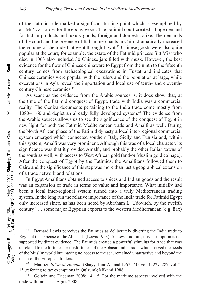of the Fatimid rule marked a significant turning point which is exemplified by al- Muʻizz's order for the ebony wood. The Fatimid court created a huge demand for Indian products and luxury goods, foreign and domestic alike. The demands of the court and the presence of Italian merchants in Cairo dramatically increased the volume of the trade that went through Egypt.<sup>42</sup> Chinese goods were also quite popular at the court; for example, the estate of the Fatimid princess Sitt Misr who died in 1063 also included 30 Chinese jars filled with musk. However, the best evidence for the flow of Chinese chinaware to Egypt from the ninth to the fifteenth century comes from archaeological excavations in Fustat and indicates that Chinese ceramics were popular with the rulers and the population at large, while excavations in Ayla reveal the importation and local use of tenth- and eleventhcentury Chinese ceramics.43

As scant as the evidence from the Arabic sources is, it does show that, at the time of the Fatimid conquest of Egypt, trade with India was a commercial reality. The Geniza documents pertaining to the India trade come mostly from 1080–1160 and depict an already fully developed system.<sup>44</sup> The evidence from the Arabic sources allows us to see the significance of the conquest of Egypt in new light for both the Fatimid Mediterranean trade and Amalfi as well. During the North African phase of the Fatimid dynasty a local inter-regional commercial system emerged which connected southern Italy, Sicily and Tunisia and, within this system, Amalfi was very prominent. Although this was of a local character, its significance was that it provided Amalfi, and probably the other Italian towns of the south as well, with access to West African gold (and/or Muslim gold coinage). After the conquest of Egypt by the Fatimids, the Amalfitans followed them to Cairo and the significance of this step was more than just a geographical extension of a trade network and relations.

In Egypt Amalfitans obtained access to spices and Indian goods and the result was an expansion of trade in terms of value and importance. What initially had been a local inter-regional system turned into a truly Mediterranean trading system. In the long run the relative importance of the India trade for Fatimid Egypt only increased since, as has been noted by Abraham L. Udovitch, by the twelfth century "… some major Egyptian exports to the western Mediterranean (e.g. flax)

<sup>&</sup>lt;sup>42</sup> Bernard Lewis perceives the Fatimids as deliberately diverting the India trade to Egypt at the expense of the Abbasids (Lewis 1953). As Lewis admits, this assumption is not supported by direct evidence. The Fatimids created a powerful stimulus for trade that was unrelated to the fortunes, or misfortunes, of the Abbasid India trade, which served the needs of the Muslim world but, having no access to the sea, remained unattractive and beyond the reach of the European traders. 43 Maqrizi, *Ittiʻaz al-Hunafa'* (Shayyal and Ahmad 1967–73), vol. 1: 227, 287, vol. 2:

<sup>15 (</sup>referring to tax exemptions in Qulzum); Mikami 1988.

Goitein and Friedman 2008: 14–15. For the maritime aspects involved with the trade with India, see Agius 2008.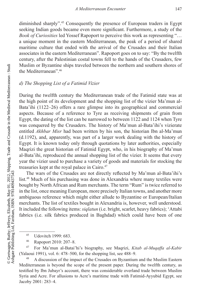diminished sharply".45 Consequently the presence of European traders in Egypt seeking Indian goods became even more significant. Furthermore, a study of the *Book of Curiosities* led Yossef Rapoport to perceive this work as representing "… a unique moment in the eastern Mediterranean, the peak of a period of shared maritime culture that ended with the arrival of the Crusades and their Italian associates in the eastern Mediterranean". Rapoport goes on to say: "By the twelfth century, after the Palestinian costal towns fell to the hands of the Crusaders, few Muslim or Byzantine ships traveled between the northern and southern shores of the Mediterranean" 46

#### *d) The Shopping List of a Fatimid Vizier*

During the twelfth century the Mediterranean trade of the Fatimid state was at the high point of its development and the shopping list of the vizier Ma'mun al-Bata'ihi (1122–26) offers a rare glimpse into its geographical and commercial aspects. Because of a reference to Tyre as receiving shipments of grain from Egypt, the dating of the list can be narrowed to between 1122 and 1124 when Tyre was conquered by the Crusaders. The history of Ma'mun al-Bata'ihi's vizierate entitled *Akhbar Misr* had been written by his son, the historian Ibn al-Ma'mun (d.1192), and, apparently, was part of a larger work dealing with the history of Egypt. It is known today only through quotations by later authorities, especially Maqrizi the great historian of Fatimid Egypt, who, in his biography of Ma'mun al-Bata'ihi, reproduced the annual shopping list of the vizier. It seems that every year the vizier used to purchase a variety of goods and materials for stocking the treasuries kept at the royal palace in Cairo.<sup>47</sup>

The wars of the Crusades are not directly reflected by Ma'mun al-Bata'ihi's list.<sup>48</sup> Much of his purchasing was done in Alexandria where many textiles were bought by North African and Rum merchants. The term "Rum" is twice referred to in the list, once meaning European, more precisely Italian towns, and another more ambiguous reference which might either allude to Byzantine or European/Italian merchants. The list of textiles bought in Alexandria is, however, well understood. It included the following items: *siqlatun* (i.e. bright, scarlet, heavy fabrics); 'Attabi fabrics (i.e. silk fabrics produced in Baghdad) which could have been of one

<sup>47</sup> For Ma'mun al-Batai'hi's biography, see Maqrizi, *Kitab al-Muqaffa al-Kabir* (Yalaoui 1991), vol. 6: 478–500, for the shopping list, see 488–9.<br><sup>48</sup> A discussion of the impact of the Crusades on Byzantium and the Muslim Eastern

Mediterranean is beyond the scope of the present paper. During the twelfth century, as testified by Ibn Jubayr's account, there was considerable overland trade between Muslim Syria and Acre. For allusions to Acre's maritime trade with Fatimid-Ayyubid Egypt, see Jacoby 2001: 283–4.

<sup>45</sup> Udovitch 1999: 683.

<sup>46</sup> Rapoport 2010: 207–8.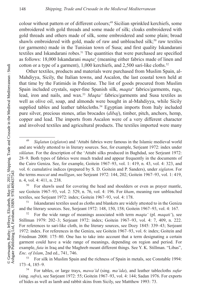colour without pattern or of different colours;<sup>49</sup> Sicilian sprinkled kerchiefs, some embroidered with gold threads and some made of silk; cloaks embroidered with gold threads and others made of silk, some embroidered and some plain; broad shawls embroidered with gold, made of raw and unbleached silk;<sup>50</sup> raw textiles (or garments) made in the Tunisian town of Susa; and first quality Iskandarani textiles and Iskandarani robes.<sup>51</sup> The quantities that were purchased are specified as follows: 18,000 Iskandarani *maqta*' (meaning either fabrics made of linen and cotton or a type of a garment),  $1,000$  kerchiefs, and  $2,500$  sari-like cloths.<sup>52</sup>

Other textiles, products and materials were purchased from Muslim Spain, al-Mahdiyya, Sicily, the Italian towns, and Ascalon, the last coastal town held at that time by the Fatimids in Palestine. The list of goods procured from Muslim Spain included crystals, super-fine Spanish silk, *maqta*' fabrics/garments, rugs, lead, iron and nails, and wax.53 *Maqta'* fabrics/garments and Susa textiles as well as olive oil, soap, and almonds were bought in al-Mahdiyya, while Sicily supplied tables and leather tablecloths.<sup>54</sup> Egyptian imports from Italy included pure silver, precious stones, atlas brocades (*dibaj*), timber, pitch, anchors, hemp, copper and lead. The imports from Ascalon were of a very different character and involved textiles and agricultural products. The textiles imported were many

<sup>50</sup> For shawls used for covering the head and shoulders or even as prayer mantle, see Goitein 1967–93, vol. 2: 529, n. 76, vol. 4: 196. For *kham*, meaning raw unbleached textiles, see Serjeant 1972: index; Goitein 1967–93, vol. 4: 178.

<sup>51</sup> Iskandarani textiles used as cloths and blankets are widely attested to in the Geniza and the literary sources. See, Serjeant 1972: 148, 150, 158; Goitein 1967–93, vol. 4: 167.<br><sup>52</sup> For the wide range of meanings associated with term *maqta'* (pl. *maqati'*), see

Stillman 1979: 202–3; Serjeant 1972: index; Goitein 1967–93, vol. 4: 7, 409, n. 222. For references to sari-like cloth, in the literary sources, see Dozy 1845: 339–43; Serjeant 1972: index. For references in the Geniza, see Goitein 1967–93, vol. 6: index; Goitein and Friedman 2008: 175–80. One has to take into account that a term designating a certain garment could have a wide range of meanings, depending on region and period. For example, *futa* in Iraq and the Maghreb meant different things. See Y. K. Stillman. "Libas", *Enc. of Islam*, 2nd ed., 741, 746.<br><sup>53</sup> For silk in Muslim Spain and the richness of Spain in metals, see Constable 1994:

173–4, 185–9.

<sup>54</sup> For tables, or large trays, *mawa'id* (sing. *ma'ida*), and leather tablecloths *sufur* (sing. *sufra*), see Sarjeant 1972: 55; Goitein 1967–93, vol. 4: 144; Sadan 1976. For exports of hides as well as lamb and rabbit skins from Sicily, see Mattthew 1993: 73.

<sup>49</sup> *Siqlatun* (*siglaton*) and 'Attabi fabrics were famous in the Islamic medieval world and are widely attested to in literary sources. See, for example, Serjeant 1972: index under *siklatun*. For the description of the 'Attabi silks produced in Baghdad, see Serjeant 1972: 28–9. Both types of fabrics were much traded and appear frequently in the documents of the Cairo Geniza. See, for example, Goitein 1967–93, vol. 1: 419, n. 43, vol. 4: 323, and vol. 6: cumulative indices (prepared by S. D. Goitein and P. Sanders), under *siglaton*. For the terms *muscat* and *mulligan*, see Serjeant 1972: 144, 202; Goitein 1967–93, vol. 1: 419, n. 4, vol. 4: 411, n. 238.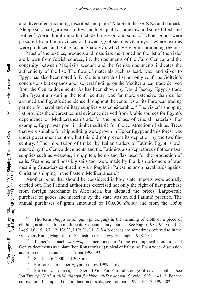and diversified, including inscribed and plain 'Attabi cloths, *siglaton* and damask, Aleppo silk, half garments of low and high quality, some raw and some fulled, and leather.<sup>55</sup> Agricultural imports included olive-oil and sumac.<sup>56</sup> Other goods were procured from the provinces of Lower Egypt such as Gharbiyya, where textiles were produced, and Buhayra and Sharqiyya, which were grain-producing regions.

Most of the textiles, products and materials mentioned on the list of the vizier are known from Jewish sources, i.e. the documents of the Cairo Geniza, and the congruity between Maqrizi's account and the Geniza documents indicates the authenticity of the list. The flow of materials such as lead, wax, and silver to Egypt has also been noted S. D. Goitein and this list not only confirms Goitein's conclusions but expands upon several findings on the Mediterranean trade derived from the Geniza documents. As has been shown by David Jacoby, Egypt's trade with Byzantium during the tenth century was far more extensive than earlier assumed and Egypt's dependence throughout the centuries on its European trading partners for naval and military supplies was considerable.<sup>57</sup> The vizier's shopping list provides the clearest textual evidence derived from Arabic sources for Egypt's dependence on Mediterranean trade for the purchase of crucial materials. For example, Egypt was poor in timber suitable for the construction of ships. Trees that were suitable for shipbuilding were grown in Upper Egypt and this forest was under government control, but this did not prevent its depletion by the twelfthcentury.<sup>58</sup> The importation of timber by Italian traders to Fatimid Egypt is well attested by the Geniza documents and the Fatimids also kept stores of other naval supplies such as weapons, iron, pitch, hemp and flax used for the production of sails. Weapons, and possibly sails too, were made by Frankish prisoners of war, meaning Crusaders captured in wars fought in Palestine or on naval raids against Christian shipping in the Eastern Mediterranean.59

Another point that should be considered is how state imports were actually carried out. The Fatimid authorities exercised not only the right of first purchase from foreign merchants in Alexandria but dictated the prices. Large-scale purchase of goods and materials by the state was an old Fatimid practice. The annual purchases of grain amounted of 100,000 *dinars* and from the 1050s

<sup>55</sup> The term *shiqqa* or *shuqqa* (pl. *shiqaq*) in the meaning of cloth or a piece of clothing is attested to in ninth-century documentary sources. See Ragib 1982–96: vol, 3: 4, l.4; 9, l.6; 15, ll.7, 12–13; 23, l.12; 31, l.1. *Dibaj* brocades are sometimes referred to in the Geniza as Rumi, Maghribi, or Spanish; see Olszowy-Schlanger 1998: 234.

<sup>56</sup> Tanner's sumach, *summaq*, is mentioned in Arabic geographical literature and Geniza documents as a plant (bot. Rhus coriaria) typical of Palestine. For a wider discussion and references to sources, see Amar 1990–93.

<sup>57</sup> See Jacoby 2000 and 2001a.

<sup>&</sup>lt;sup>58</sup> For forests in Upper Egypt, see Lev 1999a: 167.<br><sup>59</sup> For Geniza sources, see Stern 1956. For Fatimid storage of naval supplies, see Ibn Tuwayr, *Nuzhat al-Muqlatayn fi Akhbar al-Dawlatayn* (Sayyid 1992): 141–2. For the cultivation of hemp and the production of sails, see Lombard 1975: 105–7, 199–202.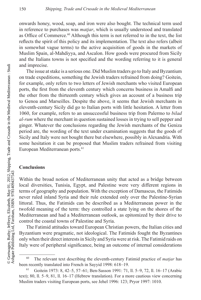onwards honey, wood, soap, and iron were also bought. The technical term used in reference to purchases was *matjar*, which is usually understood and translated as Office of Commerce.<sup>60</sup> Although this term is not referred to in the text, the list reflects the spirit of this policy and its implementation. The text also refers (albeit in somewhat vague terms) to the active acquisition of goods in the markets of Muslim Spain, al-Mahdiyya, and Ascalon. How goods were procured from Sicily and the Italians towns is not specified and the wording referring to it is general and imprecise.

The issue at stake is a serious one. Did Muslim traders go to Italy and Byzantium on trade expeditions, something the Jewish traders refrained from doing? Goitein, for example, only refers to two letters of Jewish merchants who visited European ports, the first from the eleventh century which concerns business in Amalfi and the other from the thirteenth century which gives an account of a business trip to Genoa and Marseilles. Despite the above, it seems that Jewish merchants in eleventh-century Sicily did go to Italian ports with little hesitation. A letter from 1060, for example, refers to an unsuccessful business trip from Palermo to *bilad al-rum* where the merchant in question sustained losses in trying to sell pepper and ginger. Whatever the conclusions regarding the Jewish merchants of the Geniza period are, the wording of the text under examination suggests that the goods of Sicily and Italy were not bought there but elsewhere, possibly in Alexandria. With some hesitation it can be proposed that Muslim traders refrained from visiting European Mediterranean ports.<sup>61</sup>

#### **Conclusions**

Within the broad notion of Mediterranean unity that acted as a bridge between local diversities, Tunisia, Egypt, and Palestine were very different regions in terms of geography and population. With the exception of Damascus, the Fatimids never ruled inland Syria and their rule extended only over the Palestine-Syrian littoral. Thus, the Fatimids can be described as a Mediterranean power in the twofold meaning of the term: they controlled a state lying on the shores of the Mediterranean and had a Mediterranean outlook, as epitomized by their drive to control the coastal towns of Palestine and Syria.

The Fatimid attitudes toward European Christian powers, the Italian cities and Byzantium were pragmatic, not ideological. The Fatimids fought the Byzantines only when their direct interests in Sicily and Syria were at risk. The Fatimid raids on Italy were of peripheral significance, being an outcome of internal considerations

<sup>60</sup> The relevant text describing the eleventh-century Fatimid practice of *matjar* has been recently translated into French in Sayyid 1998: 618–19.<br><sup>61</sup> Goitein 1973: 8, 42–5, 57–61; Ben-Sasson 1991: 71, ll. 5–9, 72, ll. 16–17 (Arabic

text); 80, ll. 5–9, 81, ll. 16–17 (Hebrew translation). For a more cautious view concerning Muslim traders visiting European ports, see Jehel 1996: 123; Pryor 1997: 1010.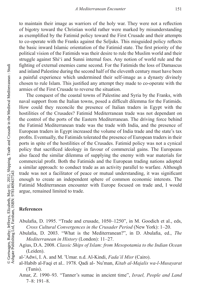to maintain their image as warriors of the holy war. They were not a reflection of bigotry toward the Christian world rather were marked by misunderstanding as exemplified by the Fatimid policy toward the First Crusade and their attempts to co-operate with the Franks against the Seljuks. This misguided policy reflects the basic inward Islamic orientation of the Fatimid state. The first priority of the political vision of the Fatimids was their desire to rule the Muslim world and their struggle against Shiʻi and Sunni internal foes. Any notion of world rule and the fighting of external enemies came second. For the Fatimids the loss of Damascus and inland Palestine during the second half of the eleventh century must have been a painful experience which undermined their self-image as a dynasty divinely chosen to rule Islam. This justified any attempt they made to co-operate with the armies of the First Crusade to reverse the situation.

The conquest of the coastal towns of Palestine and Syria by the Franks, with naval support from the Italian towns, posed a difficult dilemma for the Fatimids. How could they reconcile the presence of Italian traders in Egypt with the hostilities of the Crusades? Fatimid Mediterranean trade was not dependant on the control of the ports of the Eastern Mediterranean. The driving force behind the Fatimid Mediterranean trade was the trade with India, and the presence of European traders in Egypt increased the volume of India trade and the state's tax profits. Eventually, the Fatimids tolerated the presence of European traders in their ports in spite of the hostilities of the Crusades. Fatimid policy was not a cynical policy that sacrificed ideology in favour of commercial gains. The Europeans also faced the similar dilemma of supplying the enemy with war materials for commercial profit. Both the Fatimids and the European trading nations adopted a similar approach: to conduct trade as an activity parallel to warfare. Although trade was not a facilitator of peace or mutual understanding, it was significant enough to create an independent sphere of common economic interests. The Fatimid Mediterranean encounter with Europe focused on trade and, I would argue, remained limited to trade.

#### **References**

- Abulafia, D. 1995. "Trade and crusade, 1050–1250", in M. Goodich et al., eds, *Cross Cultural Convergences in the Crusader Period* (New York): 1–20.
- Abulafia, D. 2003. "What is the Mediterranean?", in D. Abulafia, ed., *The Mediterranean in History* (London): 11–27.
- Agius, D.A. 2008. *Classic Ships of Islam: from Mesopotamia to the Indian Ocean* (Leiden).

al-ʻAdwi, I. A. and M. ʻUmar. n.d. Al-Kindi, *Fada'il Misr* (Cairo).

- al-Habib al-Faqi et al.. 1978. Qadi al- Nu'man, *Kitab al-Majalis wa-l-Musayarat* (Tunis).
- Amar, Z. 1990–93. "Tanner's sumac in ancient time", *Israel, People and Land* 7–8: 191–8.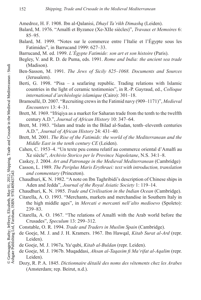Amedroz, H. F. 1908. Ibn al-Qalanisi, *Dhayl Ta'rikh Dimashq* (Leiden).

- Balard, M. 1976. "Amalfi et Byzance (Xe-XIIe siècles)", *Travaux et Memoires* 6: 85–95.
- Balard, M. 1999. "Notes sur le commerce entre l'Italie et l'Égypte sous les Fatimides", in Barrucand 1999: 627–33.
- Barrucand, M. ed. 1999. *L'Égypte Fatimide: son art et son histoire* (Paris).
- Begley, V. and R. D. de Puma, eds. 1991. *Rome and India: the ancient sea trade* (Madison).
- Ben-Sasson, M. 1991. *The Jews of Sicily 825–1068. Documents and Sources* (Jerusalem).
- Berti, G. 1998. "Pisa a seafaring republic. Trading relations with Islamic countries in the light of ceramic testimonies", in R.-P. Gayraud, ed., *Colloque international d'archéologie islamique* (Cairo): 301–18.
- Bramoullé, D. 2007. "Recruiting crews in the Fatimid navy (909–1171)", *Medieval Encounters* 13: 4–31.
- Brett, M. 1969. "Ifriqiya as a market for Saharan trade from the tenth to the twelfth century A.D.", *Journal of African History* 10: 347–64.
- Brett, M. 1983. "Islam and trade in the Bilad al-Sudan, tenth–eleventh centuries A.D.", *Journal of African History* 24: 431–40.
- Brett, M. 2001. *The Rise of the Fatimids: the world of the Mediterranean and the Middle East in the tenth century CE* (Leiden).
- Cahen, C. 1953–4. "Un texte peu connu relatif au commerce oriental d'Amalfi au Xe siècle", *Archivio Storico per le Province Napoletane*, N.S. 34:1–8.
- Caskey, J. 2004. *Art and Patronage in the Medieval Mediterranean* (Cambridge)
- Casson, L. 1989. *The Periplus Maris Erythraei: text with introduction, translation and commentary* (Princeton).
- Chaudhuri, K. N. 1982. "A note on Ibn Taghribidi's description of Chinese ships in Aden and Jedda", *Journal of the Royal Asiatic Society* 1: 119–14.
- Chaudhuri, K. N. 1985. *Trade and Civilisation in the Indian Ocean* (Cambridge).
- Citarella, A. O. 1993. "Merchants, markets and merchandise in Southern Italy in the high middle ages", in *Mercati e mercanti nell'alto medioevo* (Spoleto): 239–83.
- Citarella, A. O. 1967. "The relations of Amalfi with the Arab world before the Crusades", *Speculum* 13: 299–312.
- Constable, O. R. 1994. *Trade and Traders in Muslim Spain* (Cambridge).
- de Goeje, M. J. and J. H. Kramers. 1967. Ibn Hawqal, *Kitab Surat al-Ard* (repr. Leiden).
- de Goeje, M. J. 1967a. Ya'qubi, *Kitab al-Buldan* (repr. Leiden).
- de Goeje, M. J. 1967b. Muqaddasi, *Ahsan al-Taqasim fi Maʻrifat al-Aqalim* (repr. Leiden).
- Dozy, R. P. A. 1845. *Dictionnaire détailé des noms des vêtements chez les Arabes*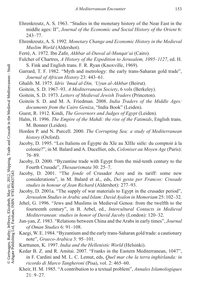- Ehrenkreutz, A. S. 1963. "Studies in the monetary history of the Near East in the middle ages: II", *Journal of the Economic and Social History of the Orient* 6: 243–77.
- Ehrenkreutz, A. S. 1992. *Monetary Change and Economic History in the Medieval Muslim World* (Aldershot).
- Ferré, A. 1972. Ibn Zafir, *Akhbar al-Duwal al-Munqatʻai* (Cairo).
- Fulcher of Chartres, *A History of the Expedition to Jerusalem, 1095–1127*, ed. H. S. Fink and English trans. F. R. Ryan (Knoxville, 1969).
- Garrard, T. F. 1982. "Myth and metrology: the early trans-Saharan gold trade", *Journal of African History* 23: 443–61.
- Ghalib. M. 1975. *Idris ʻImad al-Din, ʻUyun al-Akhbar* (Beirut).
- Goitein, S. D. 1967–93. *A Mediterranean Society*, 6 vols (Berkeley).
- Goitein, S. D. 1973. *Letters of Medieval Jewish Traders* (Princeton).
- Goitein S. D. and M. A. Friedman. 2008. *India Traders of the Middle Ages: documents from the Cairo Geniza*, "India Book" (Leiden).
- Guest, R. 1912. Kindi, *The Governors and Judges of Egypt* (Leiden).
- Halm, H. 1996. *The Empire of the Mahdi: the rise of the Fatimids*, English trans. M. Bonner (Leiden).
- Horden P. and N. Purcell. 2000. *The Corrupting Sea: a study of Mediterranean history* (Oxford).
- Jacoby, D. 1995. "Les Italiens en Égypte du XIe au XIIIe sièle: du comptoir à la colonie?", in M. Balard and A. Ducellier, eds, *Coloniser au Moyen Age* (Paris): 76–89.
- Jacoby, D. 2000. "Byzantine trade with Egypt from the mid-tenth century to the Fourth Crusade", *Thesaurismata* 30: 25–7.
- Jacoby, D. 2001. "The *fonde* of Crusader Acre and its tariff: some new considerations", in M. Balard et al., eds, *Dei gesta per Francos: Crusade studies in honour of Jean Richard* (Aldershot): 277–93.
- Jacoby, D. 2001a. "The supply of war materials to Egypt in the crusader period", *Jerusalem Studies in Arabic and Islam: David Ayalon in Memoriam* 25: 102–32.
- Jehel, G. 1996. "Jews and Muslims in Medieval Genoa: from the twelfth to the fourteenth century", in B. Arbel, ed., *Intercultural Contacts in Medieval Mediterranean: studies in honor of David Jacoby* (London): 120–32.
- Jun-yan, Z. 1983. "Relations between China and the Arabs in early times", *Journal of Oman Studies* 6: 91–108.
- Kaegi, W. E. 1984. "Byzantium and the early trans-Saharan gold trade: a cautionary note", *Graeco-Arabica* 3: 95–101.

- Kedar B. Z. and R. Amitai. 2007. "Franks in the Eastern Mediterranean, 1047", in F. Cardini and M. L. C. Lemut, eds, *Quel mar che la terra inghirlanda: in ricordo di Marco Tangheroni* (Pisa), vol. 2: 465–60.
- Kheir, H. M. 1985. "A contribution to a textual problem", *Annales Islamologiques* 21: 9–27.

Karttunen, K. 1997. *India and the Hellenistic World* (Helsinki).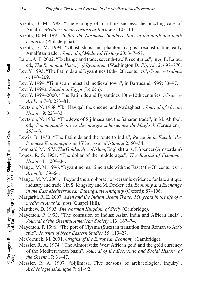- Kreutz, B. M. 1988. "The ecology of maritime success: the puzzling case of Amalfi", *Mediterranean Historical Review* 3: 103–13.
- Kreutz, B. M. 1991. *Before the Normans: Southern Italy in the ninth and tenth centuries* (Philadelphia).
- Kreutz, B. M. 1994. "Ghost ships and phantom cargos: reconstructing early Amalfitan trade", *Journal of Medieval History* 20: 347–57.
- Laiou, A. E. 2002. "Exchange and trade, seventh-twelfth centuries", in A. E. Laiou, ed., *The Economic History of Byzantium* (Washington D. C.), vol. 2: 697–770.
- Lev, Y. 1995. "The Fatimids and Byzantines 10th-12th centuries", *Graeco-Arabica* 6: 190–209.
- Lev, Y. 1999. "Tinnis: an industrial medieval town", in Barrucand 1999: 83–97.
- Lev, Y. 1999a. *Saladin in Egypt* (Leiden).
- Lev, Y. 1999–2000. "The Fatimids and Byzantines 10th–12th centuries", *Graeco-Arabica* 7–8: 273–81.
- Levtzion, N. 1968. "Ibn Hawqal, the cheque, and Awdaghost", *Journal of African History* 9: 223–33.
- Levtzion, N. 1982. "The Jews of Sijilmasa and the Saharan trade", in M. Abitbol, ed., *Communautés juives des marges sahariennes du Maghreb* (Jerusalem): 253–63.
- Lewis, B. 1953. "The Fatimids and the route to India", *Revue de la Faculté des Sciences Economiques de l'Université d'Istanbul* 2: 50–54.
- Lombard, M. 1975. *The Golden Age of Islam*, English trans. J. Spencer (Amsterdam)
- Lopez, R. S. 1951. "The dollar of the middle ages", *The Journal of Economic History* 11: 209–34.
- Mango, M. M. 1996. "Byzantine maritime trade with the East (4th–7th centuries)", *Aram* 8: 139–64.
- Mango, M. M. 2001. "Beyond the amphora: non-ceramic evidence for late antique industry and trade", in S. Kingsley and M. Decker, eds, *Economy and Exchange in the East Mediterranean During Late Antiquity* (Oxford): 87–106.
- Margariti, R. E. 2007. *Aden and the Indian Ocean Trade: 150 years in the life of a medieval Arabian port* (Chapel Hill).
- Mattthew, D. 1993. *The Norman Kingdom of Sicily* (Cambridge).
- Mayerson, P. 1993. "The confusion of Indias: Asian India and African India", *Journal of the Oriental American Society* 113: 167–74.
- Mayerson, P. 1996. "The port of Clysma (Suez) in transition from Roman to Arab rule", *Journal of Near Eastern Studies* 55: 119–27.
- McCormick, M. 2001. *Origins of the European Economy* (Cambridge).
- Messier, R. A. 1974. "The Almoravids: West African gold and the gold currency of the Mediterranean basin", *Journal of the Economic and Social History of the Orient* 17: 31–47.
- Messier, R. A. 1997. "Sijilmasa. Five seasons of archaeological inquiry",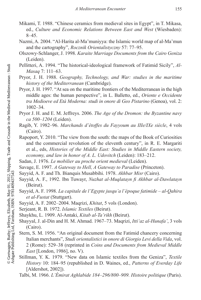- Mikami, T. 1988. "Chinese ceramics from medieval sites in Egypt", in T. Mikasa, ed., *Culture and Economic Relations Between East and West* (Wiesbaden):  $8-45.$
- Nazmi, A. 2004. "Al-Harita al-Ma'muniyya: the Islamic world map of al-Ma'mun and the cartography", *Rocznik Orientalistyczny* 57: 77–95.
- Olszowy-Schlanger, J. 1998. *Karaite Marriage Documents from the Cairo Geniza* (Leiden).
- Pellitteri, A. 1994. "The historical-ideological framework of Fatimid Sicily", *Al-Masaq* 7: 111–63.
- Pryor, J. H. 1988. *Geography, Technology, and War: studies in the maritime history of the Mediterranean* (Cambridge).
- Pryor, J. H. 1997. "At sea on the maritime frontiers of the Mediterranean in the high middle ages: the human perspective", in L. Balletto, ed., *Oriente e Occidente tra Medioeve ed Età Moderna: studi in onore di Geo Pistarino* (Genoa), vol. 2: 1002–34.
- Pryor J. H. and E. M. Jeffreys. 2006. *The Age of the Dromon: the Byzantine navy ca 500*–*1204* (Leiden).
- Ragib, Y. 1982–96. *Marchands d'étoffes du Fayyoum au IIIe/IXe siècle*, 4 vols (Cairo).
- Rapoport, Y. 2010. "The view from the south: the maps of the Book of Curiosities and the commercial revolution of the eleventh century", in R. E. Margariti et al., eds, *Histories of the Middle East: Studies in Middle Eastern society, economy, and law in honor of A. L. Udovitch* (Leiden): 183–212.
- Sadan, J. 1976. *Le mobilier au proche orient medieval* (Leiden).
- Savage, E. 1997. *A Gateway to Hell, A Gateway to Paradise* (Princeton).
- Sayyid, A. F. and Th. Bianquis Musabbihi. 1978. *Akhbar Misr* (Cairo).
- Sayyid, A. F., 1992. Ibn Tuwayr, *Nuzhat al-Muqlatayn fi Akhbar al-Dawlatayn*  (Beirut).
- Sayyid, A. F. 1998. *La capitale de l'Egypte jusqu'a l'époque fatimide al-Qahira et al-Fustat* (Stuttgart).
- Sayyid, A. F. 2002–2004. Maqrizi, *Khitat*, 5 vols (London).
- Serjeant, R. B. 1972. *Islamic Textiles* (Beirut).
- Shaykhu, L. 1909. Al-Antaki, *Kitab al-Ta'rikh* (Beirut).
- Shayyal, J. al-Din and H. M. Ahmad. 1967–73. Maqrizi, *Ittiʻaz al-Hunafa'*, 3 vols (Cairo).
- Stern, S. M. 1956. "An original document from the Fatimid chancery concerning Italian merchants", *Studi orientalistici in onore di Giorgio Levi della Vida*, vol. 2 (Rome): 529–38 (reprinted in *Coins and Documents from Medieval Middle East* [London, 1986], no. V).
- Stillman, Y. K. 1979. "New data on Islamic textiles from the Geniza", *Textile History* 10: 184–95 (republished in D. Waines, ed., *Patterns of Everday Life* [Aldershot, 2002]).
- Talbi, M. 1966. *L'Émirat Aghlabide 184*–*296/800*–*909. Histoire politique* (Paris).